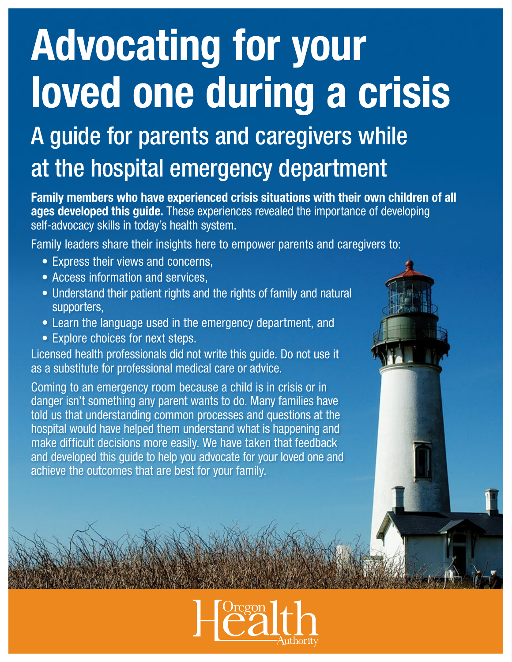# Advocating for your loved one during a crisis

# A guide for parents and caregivers while at the hospital emergency department

Family members who have experienced crisis situations with their own children of all ages developed this guide. These experiences revealed the importance of developing self-advocacy skills in today's health system.

Family leaders share their insights here to empower parents and caregivers to:

- Express their views and concerns,
- Access information and services,
- Understand their patient rights and the rights of family and natural supporters,
- Learn the language used in the emergency department, and
- Explore choices for next steps.

Licensed health professionals did not write this guide. Do not use it as a substitute for professional medical care or advice.

Coming to an emergency room because a child is in crisis or in danger isn't something any parent wants to do. Many families have told us that understanding common processes and questions at the hospital would have helped them understand what is happening and make difficult decisions more easily. We have taken that feedback and developed this guide to help you advocate for your loved one and achieve the outcomes that are best for your family.



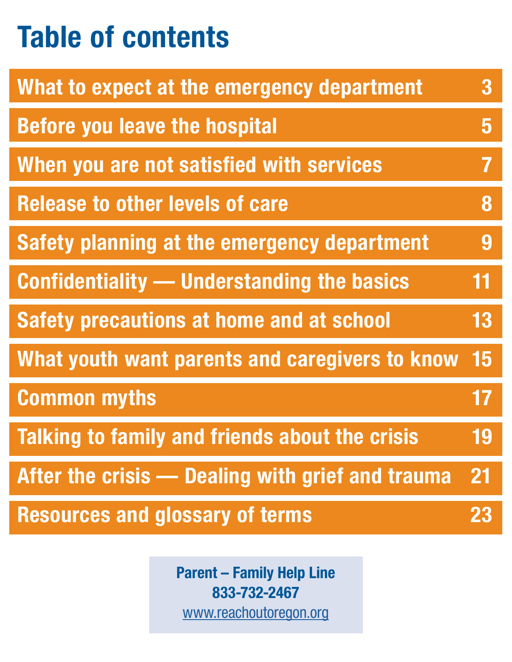# <span id="page-1-0"></span>Table of contents

| What to expect at the emergency department         | 3                       |
|----------------------------------------------------|-------------------------|
| <b>Before you leave the hospital</b>               | $\overline{\mathbf{5}}$ |
| When you are not satisfied with services           | 7                       |
| <b>Release to other levels of care</b>             | 8                       |
| <b>Safety planning at the emergency department</b> | 9                       |
| <b>Confidentiality — Understanding the basics</b>  | 11                      |
| <b>Safety precautions at home and at school</b>    | 13                      |
| What youth want parents and caregivers to know     | 15                      |
| <b>Common myths</b>                                | 17                      |
| Talking to family and friends about the crisis     | 19                      |
| After the crisis — Dealing with grief and trauma   | 21                      |
| <b>Resources and glossary of terms</b>             |                         |

Parent – Family Help Line 833-732-2467 [www.reachoutoregon.org](http://www.reachoutoregon.org)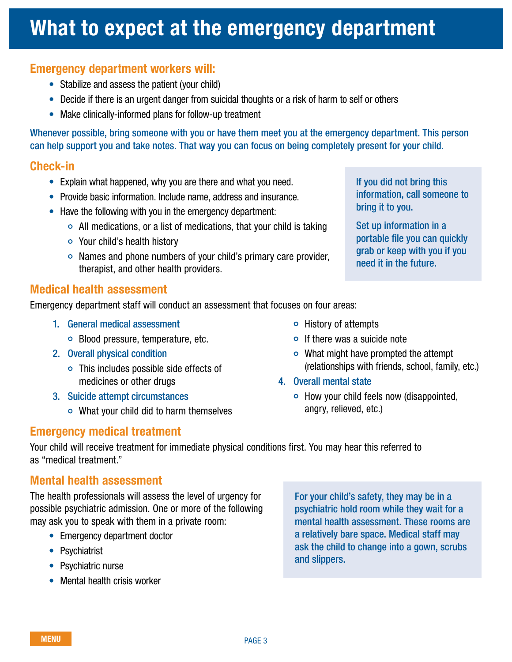### <span id="page-2-0"></span>What to expect at the emergency department

### Emergency department workers will:

- Stabilize and assess the patient (your child)
- Decide if there is an urgent danger from suicidal thoughts or a risk of harm to self or others
- Make clinically-informed plans for follow-up treatment

Whenever possible, bring someone with you or have them meet you at the emergency department. This person can help support you and take notes. That way you can focus on being completely present for your child.

### Check-in

- Explain what happened, why you are there and what you need.
- Provide basic information. Include name, address and insurance.
- Have the following with you in the emergency department:
	- $\circ$  All medications, or a list of medications, that your child is taking
	- Your child's health history
	- Names and phone numbers of your child's primary care provider, therapist, and other health providers.

### Medical health assessment

Emergency department staff will conduct an assessment that focuses on four areas:

- 1. General medical assessment
	- Blood pressure, temperature, etc.
- 2. Overall physical condition
	- This includes possible side effects of medicines or other drugs
- 3. Suicide attempt circumstances
	- $\circ$  What your child did to harm themselves
- Emergency medical treatment
- $\circ$  History of attempts
- If there was a suicide note
- $\circ$  What might have prompted the attempt (relationships with friends, school, family, etc.)
- 4. Overall mental state
	- $\circ$  How your child feels now (disappointed, angry, relieved, etc.)

Your child will receive treatment for immediate physical conditions first. You may hear this referred to as "medical treatment."

### Mental health assessment

The health professionals will assess the level of urgency for possible psychiatric admission. One or more of the following may ask you to speak with them in a private room:

- Emergency department doctor
- Psychiatrist
- Psychiatric nurse
- Mental health crisis worker

For your child's safety, they may be in a psychiatric hold room while they wait for a mental health assessment. These rooms are a relatively bare space. Medical staff may ask the child to change into a gown, scrubs and slippers.

If you did not bring this information, call someone to bring it to you.

Set up information in a portable file you can quickly grab or keep with you if you need it in the future.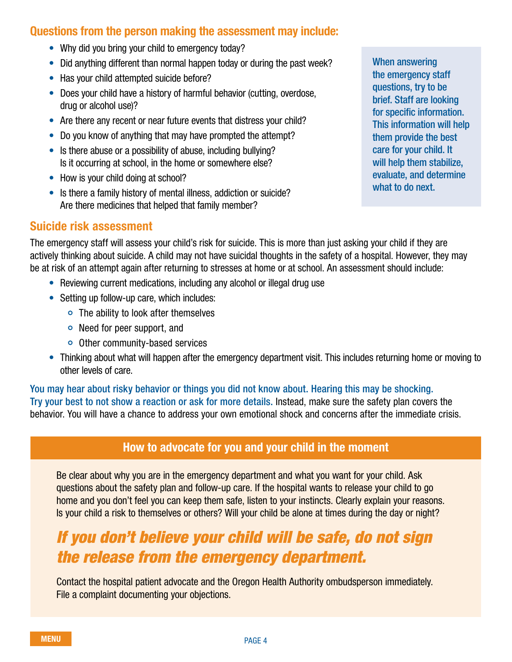### Questions from the person making the assessment may include:

- Why did you bring your child to emergency today?
- Did anything different than normal happen today or during the past week?
- Has your child attempted suicide before?
- Does your child have a history of harmful behavior (cutting, overdose, drug or alcohol use)?
- Are there any recent or near future events that distress your child?
- Do you know of anything that may have prompted the attempt?
- Is there abuse or a possibility of abuse, including bullying? Is it occurring at school, in the home or somewhere else?
- How is your child doing at school?
- Is there a family history of mental illness, addiction or suicide? Are there medicines that helped that family member?

### Suicide risk assessment

The emergency staff will assess your child's risk for suicide. This is more than just asking your child if they are actively thinking about suicide. A child may not have suicidal thoughts in the safety of a hospital. However, they may be at risk of an attempt again after returning to stresses at home or at school. An assessment should include:

- Reviewing current medications, including any alcohol or illegal drug use
- Setting up follow-up care, which includes:
	- The ability to look after themselves
	- Need for peer support, and
	- Other community-based services
- Thinking about what will happen after the emergency department visit. This includes returning home or moving to other levels of care.

You may hear about risky behavior or things you did not know about. Hearing this may be shocking. Try your best to not show a reaction or ask for more details. Instead, make sure the safety plan covers the behavior. You will have a chance to address your own emotional shock and concerns after the immediate crisis.

### How to advocate for you and your child in the moment

Be clear about why you are in the emergency department and what you want for your child. Ask questions about the safety plan and follow-up care. If the hospital wants to release your child to go home and you don't feel you can keep them safe, listen to your instincts. Clearly explain your reasons. Is your child a risk to themselves or others? Will your child be alone at times during the day or night?

### *If you don't believe your child will be safe, do not sign the release from the emergency department.*

Contact the hospital patient advocate and the Oregon Health Authority ombudsperson immediately. File a complaint documenting your objections.

When answering the emergency staff questions, try to be brief. Staff are looking for specific information. This information will help them provide the best care for your child. It will help them stabilize. evaluate, and determine what to do next.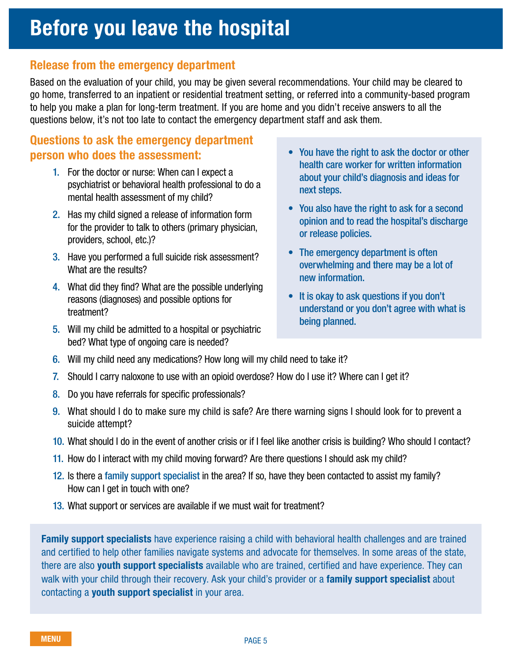# <span id="page-4-0"></span>Before you leave the hospital

### Release from the emergency department

Based on the evaluation of your child, you may be given several recommendations. Your child may be cleared to go home, transferred to an inpatient or residential treatment setting, or referred into a community-based program to help you make a plan for long-term treatment. If you are home and you didn't receive answers to all the questions below, it's not too late to contact the emergency department staff and ask them.

### Questions to ask the emergency department person who does the assessment:

- 1. For the doctor or nurse: When can I expect a psychiatrist or behavioral health professional to do a mental health assessment of my child?
- 2. Has my child signed a release of information form for the provider to talk to others (primary physician, providers, school, etc.)?
- 3. Have you performed a full suicide risk assessment? What are the results?
- 4. What did they find? What are the possible underlying reasons (diagnoses) and possible options for treatment?
- 5. Will my child be admitted to a hospital or psychiatric bed? What type of ongoing care is needed?
- You have the right to ask the doctor or other health care worker for written information about your child's diagnosis and ideas for next steps.
- You also have the right to ask for a second opinion and to read the hospital's discharge or release policies.
- The emergency department is often overwhelming and there may be a lot of new information.
- It is okay to ask questions if you don't understand or you don't agree with what is being planned.
- 6. Will my child need any medications? How long will my child need to take it?
- 7. Should I carry naloxone to use with an opioid overdose? How do I use it? Where can I get it?
- 8. Do you have referrals for specific professionals?
- 9. What should I do to make sure my child is safe? Are there warning signs I should look for to prevent a suicide attempt?
- 10. What should I do in the event of another crisis or if I feel like another crisis is building? Who should I contact?
- 11. How do I interact with my child moving forward? Are there questions I should ask my child?
- 12. Is there a family support specialist in the area? If so, have they been contacted to assist my family? How can I get in touch with one?
- 13. What support or services are available if we must wait for treatment?

Family support specialists have experience raising a child with behavioral health challenges and are trained and certified to help other families navigate systems and advocate for themselves. In some areas of the state, there are also youth support specialists available who are trained, certified and have experience. They can walk with your child through their recovery. Ask your child's provider or a family support specialist about contacting a youth support specialist in your area.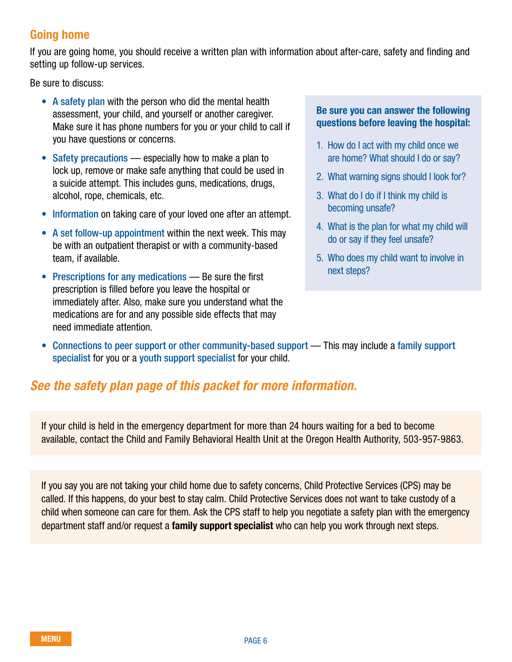### Going home

If you are going home, you should receive a written plan with information about after-care, safety and finding and setting up follow-up services.

Be sure to discuss:

- A safety plan with the person who did the mental health assessment, your child, and yourself or another caregiver. Make sure it has phone numbers for you or your child to call if you have questions or concerns.
- Safety precautions especially how to make a plan to lock up, remove or make safe anything that could be used in a suicide attempt. This includes guns, medications, drugs, alcohol, rope, chemicals, etc.
- Information on taking care of your loved one after an attempt.
- A set follow-up appointment within the next week. This may be with an outpatient therapist or with a community-based team, if available.
- Prescriptions for any medications Be sure the first prescription is filled before you leave the hospital or immediately after. Also, make sure you understand what the medications are for and any possible side effects that may need immediate attention.

### Be sure you can answer the following questions before leaving the hospital:

- 1. How do I act with my child once we are home? What should I do or say?
- 2. What warning signs should I look for?
- 3. What do I do if I think my child is becoming unsafe?
- 4. What is the plan for what my child will do or say if they feel unsafe?
- 5. Who does my child want to involve in next steps?
- Connections to peer support or other community-based support This may include a family support specialist for you or a youth support specialist for your child.

### *See the safety plan page of this packet for more information.*

If your child is held in the emergency department for more than 24 hours waiting for a bed to become available, contact the Child and Family Behavioral Health Unit at the Oregon Health Authority, 503-957-9863.

If you say you are not taking your child home due to safety concerns, Child Protective Services (CPS) may be called. If this happens, do your best to stay calm. Child Protective Services does not want to take custody of a child when someone can care for them. Ask the CPS staff to help you negotiate a safety plan with the emergency department staff and/or request a **family support specialist** who can help you work through next steps.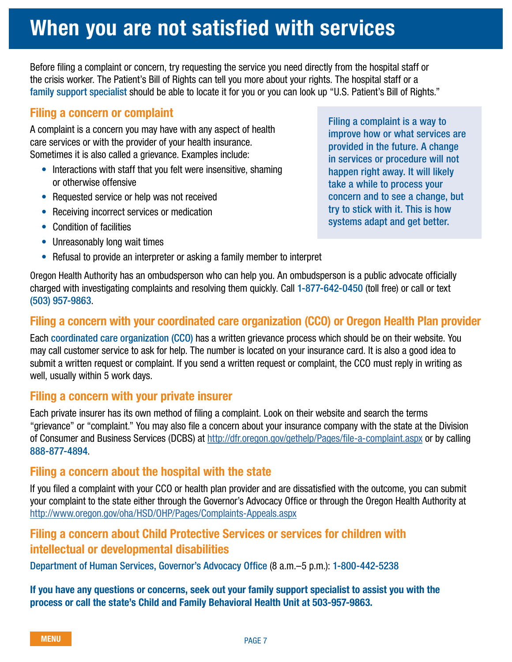### <span id="page-6-0"></span>When you are not satisfied with services

Before filing a complaint or concern, try requesting the service you need directly from the hospital staff or the crisis worker. The Patient's Bill of Rights can tell you more about your rights. The hospital staff or a family support specialist should be able to locate it for you or you can look up "U.S. Patient's Bill of Rights."

### Filing a concern or complaint

A complaint is a concern you may have with any aspect of health care services or with the provider of your health insurance. Sometimes it is also called a grievance. Examples include:

- Interactions with staff that you felt were insensitive, shaming or otherwise offensive
- Requested service or help was not received
- Receiving incorrect services or medication
- Condition of facilities
- Unreasonably long wait times
- Refusal to provide an interpreter or asking a family member to interpret

Filing a complaint is a way to improve how or what services are provided in the future. A change in services or procedure will not happen right away. It will likely take a while to process your concern and to see a change, but try to stick with it. This is how systems adapt and get better.

Oregon Health Authority has an ombudsperson who can help you. An ombudsperson is a public advocate officially charged with investigating complaints and resolving them quickly. Call 1-877-642-0450 (toll free) or call or text (503) 957-9863.

### Filing a concern with your coordinated care organization (CCO) or Oregon Health Plan provider

Each coordinated care organization (CCO) has a written grievance process which should be on their website. You may call customer service to ask for help. The number is located on your insurance card. It is also a good idea to submit a written request or complaint. If you send a written request or complaint, the CCO must reply in writing as well, usually within 5 work days.

### Filing a concern with your private insurer

Each private insurer has its own method of filing a complaint. Look on their website and search the terms "grievance" or "complaint." You may also file a concern about your insurance company with the state at the Division of Consumer and Business Services (DCBS) at<http://dfr.oregon.gov/gethelp/Pages/file-a-complaint.aspx>or by calling 888-877-4894.

### Filing a concern about the hospital with the state

If you filed a complaint with your CCO or health plan provider and are dissatisfied with the outcome, you can submit your complaint to the state either through the Governor's Advocacy Office or through the Oregon Health Authority at <http://www.oregon.gov/oha/HSD/OHP/Pages/Complaints-Appeals.aspx>

### Filing a concern about Child Protective Services or services for children with intellectual or developmental disabilities

Department of Human Services, Governor's Advocacy Office (8 a.m.–5 p.m.): 1-800-442-5238

If you have any questions or concerns, seek out your family support specialist to assist you with the process or call the state's Child and Family Behavioral Health Unit at 503-957-9863.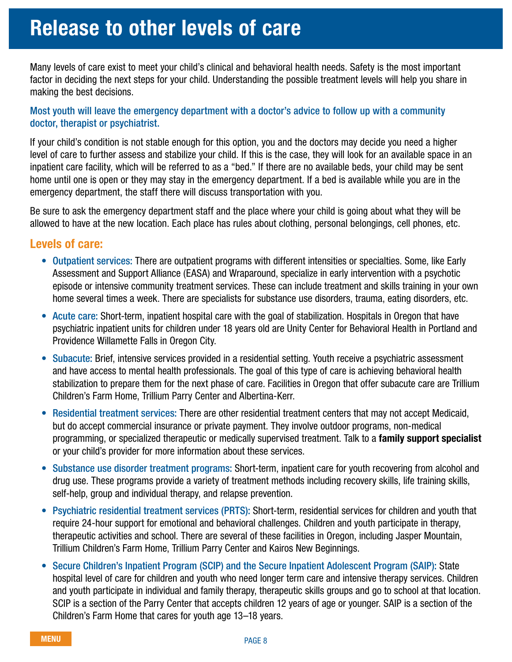### <span id="page-7-0"></span>Release to other levels of care

Many levels of care exist to meet your child's clinical and behavioral health needs. Safety is the most important factor in deciding the next steps for your child. Understanding the possible treatment levels will help you share in making the best decisions.

### Most youth will leave the emergency department with a doctor's advice to follow up with a community doctor, therapist or psychiatrist.

If your child's condition is not stable enough for this option, you and the doctors may decide you need a higher level of care to further assess and stabilize your child. If this is the case, they will look for an available space in an inpatient care facility, which will be referred to as a "bed." If there are no available beds, your child may be sent home until one is open or they may stay in the emergency department. If a bed is available while you are in the emergency department, the staff there will discuss transportation with you.

Be sure to ask the emergency department staff and the place where your child is going about what they will be allowed to have at the new location. Each place has rules about clothing, personal belongings, cell phones, etc.

### Levels of care:

- Outpatient services: There are outpatient programs with different intensities or specialties. Some, like Early Assessment and Support Alliance (EASA) and Wraparound, specialize in early intervention with a psychotic episode or intensive community treatment services. These can include treatment and skills training in your own home several times a week. There are specialists for substance use disorders, trauma, eating disorders, etc.
- Acute care: Short-term, inpatient hospital care with the goal of stabilization. Hospitals in Oregon that have psychiatric inpatient units for children under 18 years old are Unity Center for Behavioral Health in Portland and Providence Willamette Falls in Oregon City.
- Subacute: Brief, intensive services provided in a residential setting. Youth receive a psychiatric assessment and have access to mental health professionals. The goal of this type of care is achieving behavioral health stabilization to prepare them for the next phase of care. Facilities in Oregon that offer subacute care are Trillium Children's Farm Home, Trillium Parry Center and Albertina-Kerr.
- Residential treatment services: There are other residential treatment centers that may not accept Medicaid, but do accept commercial insurance or private payment. They involve outdoor programs, non-medical programming, or specialized therapeutic or medically supervised treatment. Talk to a **family support specialist** or your child's provider for more information about these services.
- Substance use disorder treatment programs: Short-term, inpatient care for youth recovering from alcohol and drug use. These programs provide a variety of treatment methods including recovery skills, life training skills, self-help, group and individual therapy, and relapse prevention.
- Psychiatric residential treatment services (PRTS): Short-term, residential services for children and youth that require 24-hour support for emotional and behavioral challenges. Children and youth participate in therapy, therapeutic activities and school. There are several of these facilities in Oregon, including Jasper Mountain, Trillium Children's Farm Home, Trillium Parry Center and Kairos New Beginnings.
- Secure Children's Inpatient Program (SCIP) and the Secure Inpatient Adolescent Program (SAIP): State hospital level of care for children and youth who need longer term care and intensive therapy services. Children and youth participate in individual and family therapy, therapeutic skills groups and go to school at that location. SCIP is a section of the Parry Center that accepts children 12 years of age or younger. SAIP is a section of the Children's Farm Home that cares for youth age 13–18 years.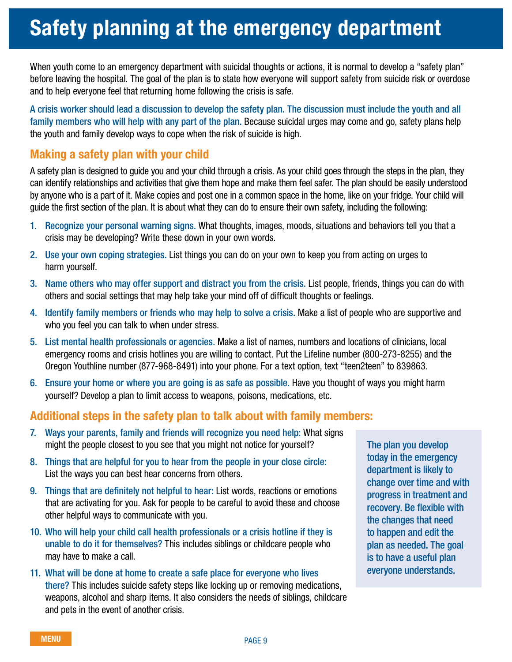### <span id="page-8-0"></span>Safety planning at the emergency department

When youth come to an emergency department with suicidal thoughts or actions, it is normal to develop a "safety plan" before leaving the hospital. The goal of the plan is to state how everyone will support safety from suicide risk or overdose and to help everyone feel that returning home following the crisis is safe.

A crisis worker should lead a discussion to develop the safety plan. The discussion must include the youth and all family members who will help with any part of the plan. Because suicidal urges may come and go, safety plans help the youth and family develop ways to cope when the risk of suicide is high.

### Making a safety plan with your child

A safety plan is designed to guide you and your child through a crisis. As your child goes through the steps in the plan, they can identify relationships and activities that give them hope and make them feel safer. The plan should be easily understood by anyone who is a part of it. Make copies and post one in a common space in the home, like on your fridge. Your child will guide the first section of the plan. It is about what they can do to ensure their own safety, including the following:

- 1. Recognize your personal warning signs. What thoughts, images, moods, situations and behaviors tell you that a crisis may be developing? Write these down in your own words.
- 2. Use your own coping strategies. List things you can do on your own to keep you from acting on urges to harm yourself.
- 3. Name others who may offer support and distract you from the crisis. List people, friends, things you can do with others and social settings that may help take your mind off of difficult thoughts or feelings.
- 4. Identify family members or friends who may help to solve a crisis. Make a list of people who are supportive and who you feel you can talk to when under stress.
- 5. List mental health professionals or agencies. Make a list of names, numbers and locations of clinicians, local emergency rooms and crisis hotlines you are willing to contact. Put the Lifeline number (800-273-8255) and the Oregon Youthline number (877-968-8491) into your phone. For a text option, text "teen2teen" to 839863.
- 6. Ensure your home or where you are going is as safe as possible. Have you thought of ways you might harm yourself? Develop a plan to limit access to weapons, poisons, medications, etc.

### Additional steps in the safety plan to talk about with family members:

- 7. Ways your parents, family and friends will recognize you need help: What signs might the people closest to you see that you might not notice for yourself?
- 8. Things that are helpful for you to hear from the people in your close circle: List the ways you can best hear concerns from others.
- 9. Things that are definitely not helpful to hear: List words, reactions or emotions that are activating for you. Ask for people to be careful to avoid these and choose other helpful ways to communicate with you.
- 10. Who will help your child call health professionals or a crisis hotline if they is unable to do it for themselves? This includes siblings or childcare people who may have to make a call.
- 11. What will be done at home to create a safe place for everyone who lives there? This includes suicide safety steps like locking up or removing medications, weapons, alcohol and sharp items. It also considers the needs of siblings, childcare and pets in the event of another crisis.

The plan you develop today in the emergency department is likely to change over time and with progress in treatment and recovery. Be flexible with the changes that need to happen and edit the plan as needed. The goal is to have a useful plan everyone understands.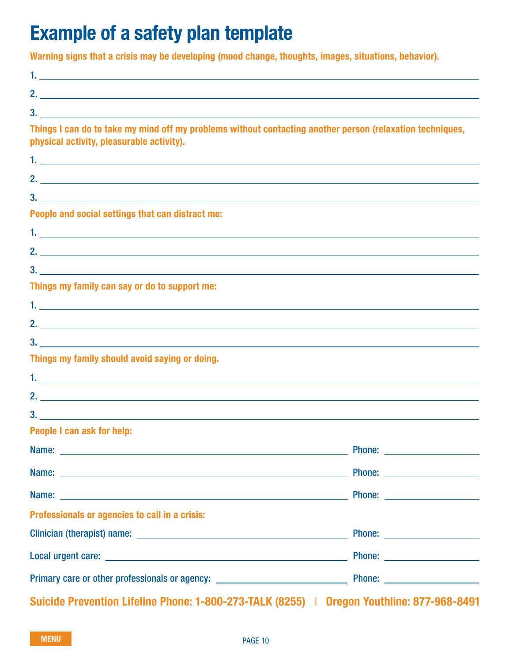### Example of a safety plan template

Warning signs that a crisis may be developing (mood change, thoughts, images, situations, behavior).

| Things I can do to take my mind off my problems without contacting another person (relaxation techniques,<br>physical activity, pleasurable activity).                                                                               |  |
|--------------------------------------------------------------------------------------------------------------------------------------------------------------------------------------------------------------------------------------|--|
|                                                                                                                                                                                                                                      |  |
|                                                                                                                                                                                                                                      |  |
|                                                                                                                                                                                                                                      |  |
| People and social settings that can distract me:                                                                                                                                                                                     |  |
|                                                                                                                                                                                                                                      |  |
|                                                                                                                                                                                                                                      |  |
|                                                                                                                                                                                                                                      |  |
| Things my family can say or do to support me:                                                                                                                                                                                        |  |
|                                                                                                                                                                                                                                      |  |
|                                                                                                                                                                                                                                      |  |
| $3.$ $\overline{\phantom{a}}$                                                                                                                                                                                                        |  |
| Things my family should avoid saying or doing.                                                                                                                                                                                       |  |
|                                                                                                                                                                                                                                      |  |
|                                                                                                                                                                                                                                      |  |
|                                                                                                                                                                                                                                      |  |
| People I can ask for help:                                                                                                                                                                                                           |  |
|                                                                                                                                                                                                                                      |  |
|                                                                                                                                                                                                                                      |  |
|                                                                                                                                                                                                                                      |  |
| Professionals or agencies to call in a crisis:                                                                                                                                                                                       |  |
| Clinician (therapist) name: <u>contract the contract of the contract of the contract of the contract of the contract of the contract of the contract of the contract of the contract of the contract of the contract of the cont</u> |  |
|                                                                                                                                                                                                                                      |  |
|                                                                                                                                                                                                                                      |  |

Suicide Prevention Lifeline Phone: 1-800-273-TALK (8255) | Oregon Youthline: 877-968-8491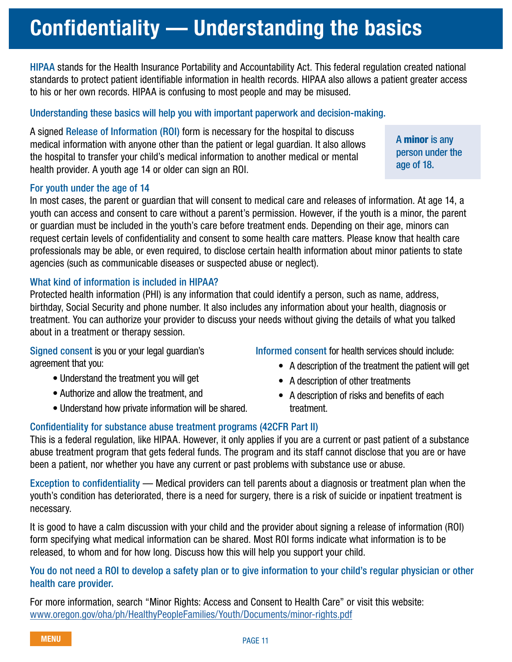# <span id="page-10-0"></span>Confidentiality — Understanding the basics

HIPAA stands for the Health Insurance Portability and Accountability Act. This federal regulation created national standards to protect patient identifiable information in health records. HIPAA also allows a patient greater access to his or her own records. HIPAA is confusing to most people and may be misused.

### Understanding these basics will help you with important paperwork and decision-making.

A signed Release of Information (ROI) form is necessary for the hospital to discuss medical information with anyone other than the patient or legal guardian. It also allows the hospital to transfer your child's medical information to another medical or mental health provider. A youth age 14 or older can sign an ROI.

#### For youth under the age of 14

In most cases, the parent or guardian that will consent to medical care and releases of information. At age 14, a youth can access and consent to care without a parent's permission. However, if the youth is a minor, the parent or guardian must be included in the youth's care before treatment ends. Depending on their age, minors can request certain levels of confidentiality and consent to some health care matters. Please know that health care professionals may be able, or even required, to disclose certain health information about minor patients to state agencies (such as communicable diseases or suspected abuse or neglect).

### What kind of information is included in HIPAA?

Protected health information (PHI) is any information that could identify a person, such as name, address, birthday, Social Security and phone number. It also includes any information about your health, diagnosis or treatment. You can authorize your provider to discuss your needs without giving the details of what you talked about in a treatment or therapy session.

Signed consent is you or your legal guardian's agreement that you:

- Understand the treatment you will get
- Authorize and allow the treatment, and
- Understand how private information will be shared.
- Informed consent for health services should include:
	- A description of the treatment the patient will get
	- A description of other treatments
	- A description of risks and benefits of each treatment.

### Confidentiality for substance abuse treatment programs (42CFR Part II)

This is a federal regulation, like HIPAA. However, it only applies if you are a current or past patient of a substance abuse treatment program that gets federal funds. The program and its staff cannot disclose that you are or have been a patient, nor whether you have any current or past problems with substance use or abuse.

Exception to confidentiality — Medical providers can tell parents about a diagnosis or treatment plan when the youth's condition has deteriorated, there is a need for surgery, there is a risk of suicide or inpatient treatment is necessary.

It is good to have a calm discussion with your child and the provider about signing a release of information (ROI) form specifying what medical information can be shared. Most ROI forms indicate what information is to be released, to whom and for how long. Discuss how this will help you support your child.

### You do not need a ROI to develop a safety plan or to give information to your child's regular physician or other health care provider.

For more information, search "Minor Rights: Access and Consent to Health Care" or visit this website: [www.oregon.gov/oha/ph/HealthyPeopleFamilies/Youth/Documents/minor-rights.pdf](http://www.oregon.gov/oha/ph/HealthyPeopleFamilies/Youth/Documents/minor-rights.pdf)

A minor is any person under the age of 18.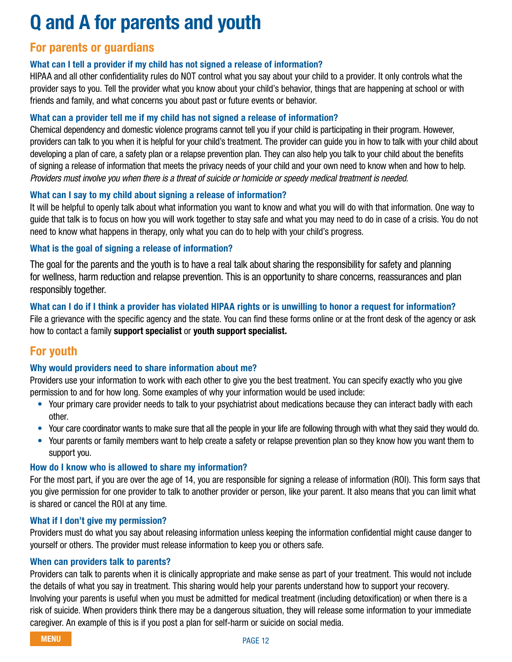## Q and A for parents and youth

### For parents or guardians

### What can I tell a provider if my child has not signed a release of information?

HIPAA and all other confidentiality rules do NOT control what you say about your child to a provider. It only controls what the provider says to you. Tell the provider what you know about your child's behavior, things that are happening at school or with friends and family, and what concerns you about past or future events or behavior.

### What can a provider tell me if my child has not signed a release of information?

Chemical dependency and domestic violence programs cannot tell you if your child is participating in their program. However, providers can talk to you when it is helpful for your child's treatment. The provider can guide you in how to talk with your child about developing a plan of care, a safety plan or a relapse prevention plan. They can also help you talk to your child about the benefits of signing a release of information that meets the privacy needs of your child and your own need to know when and how to help. *Providers must involve you when there is a threat of suicide or homicide or speedy medical treatment is needed.*

### What can I say to my child about signing a release of information?

It will be helpful to openly talk about what information you want to know and what you will do with that information. One way to guide that talk is to focus on how you will work together to stay safe and what you may need to do in case of a crisis. You do not need to know what happens in therapy, only what you can do to help with your child's progress.

### What is the goal of signing a release of information?

The goal for the parents and the youth is to have a real talk about sharing the responsibility for safety and planning for wellness, harm reduction and relapse prevention. This is an opportunity to share concerns, reassurances and plan responsibly together.

### What can I do if I think a provider has violated HIPAA rights or is unwilling to honor a request for information?

File a grievance with the specific agency and the state. You can find these forms online or at the front desk of the agency or ask how to contact a family support specialist or youth support specialist.

### For youth

### Why would providers need to share information about me?

Providers use your information to work with each other to give you the best treatment. You can specify exactly who you give permission to and for how long. Some examples of why your information would be used include:

- Your primary care provider needs to talk to your psychiatrist about medications because they can interact badly with each other.
- Your care coordinator wants to make sure that all the people in your life are following through with what they said they would do.
- Your parents or family members want to help create a safety or relapse prevention plan so they know how you want them to support you.

### How do I know who is allowed to share my information?

For the most part, if you are over the age of 14, you are responsible for signing a release of information (ROI). This form says that you give permission for one provider to talk to another provider or person, like your parent. It also means that you can limit what is shared or cancel the ROI at any time.

### What if I don't give my permission?

Providers must do what you say about releasing information unless keeping the information confidential might cause danger to yourself or others. The provider must release information to keep you or others safe.

### When can providers talk to parents?

Providers can talk to parents when it is clinically appropriate and make sense as part of your treatment. This would not include the details of what you say in treatment. This sharing would help your parents understand how to support your recovery. Involving your parents is useful when you must be admitted for medical treatment (including detoxification) or when there is a risk of suicide. When providers think there may be a dangerous situation, they will release some information to your immediate caregiver. An example of this is if you post a plan for self-harm or suicide on social media.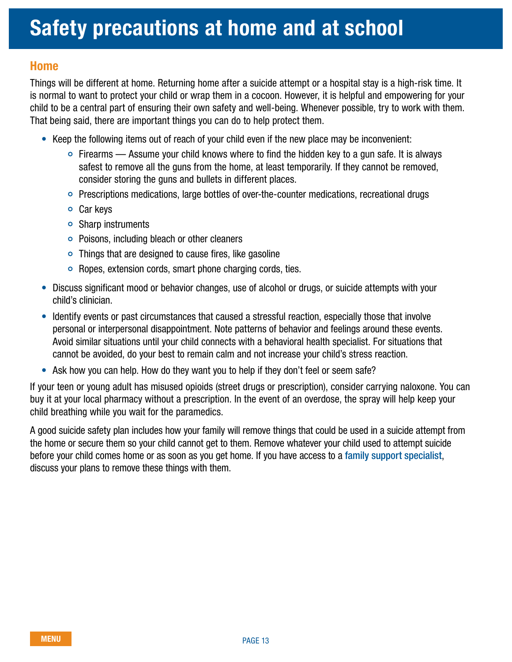### <span id="page-12-0"></span>Home

Things will be different at home. Returning home after a suicide attempt or a hospital stay is a high-risk time. It is normal to want to protect your child or wrap them in a cocoon. However, it is helpful and empowering for your child to be a central part of ensuring their own safety and well-being. Whenever possible, try to work with them. That being said, there are important things you can do to help protect them.

- Keep the following items out of reach of your child even if the new place may be inconvenient:
	- $\circ$  Firearms Assume your child knows where to find the hidden key to a gun safe. It is always safest to remove all the guns from the home, at least temporarily. If they cannot be removed, consider storing the guns and bullets in different places.
	- Prescriptions medications, large bottles of over-the-counter medications, recreational drugs
	- Car keys
	- Sharp instruments
	- Poisons, including bleach or other cleaners
	- $\circ$  Things that are designed to cause fires, like gasoline
	- Ropes, extension cords, smart phone charging cords, ties.
- Discuss significant mood or behavior changes, use of alcohol or drugs, or suicide attempts with your child's clinician.
- Identify events or past circumstances that caused a stressful reaction, especially those that involve personal or interpersonal disappointment. Note patterns of behavior and feelings around these events. Avoid similar situations until your child connects with a behavioral health specialist. For situations that cannot be avoided, do your best to remain calm and not increase your child's stress reaction.
- Ask how you can help. How do they want you to help if they don't feel or seem safe?

If your teen or young adult has misused opioids (street drugs or prescription), consider carrying naloxone. You can buy it at your local pharmacy without a prescription. In the event of an overdose, the spray will help keep your child breathing while you wait for the paramedics.

A good suicide safety plan includes how your family will remove things that could be used in a suicide attempt from the home or secure them so your child cannot get to them. Remove whatever your child used to attempt suicide before your child comes home or as soon as you get home. If you have access to a family support specialist, discuss your plans to remove these things with them.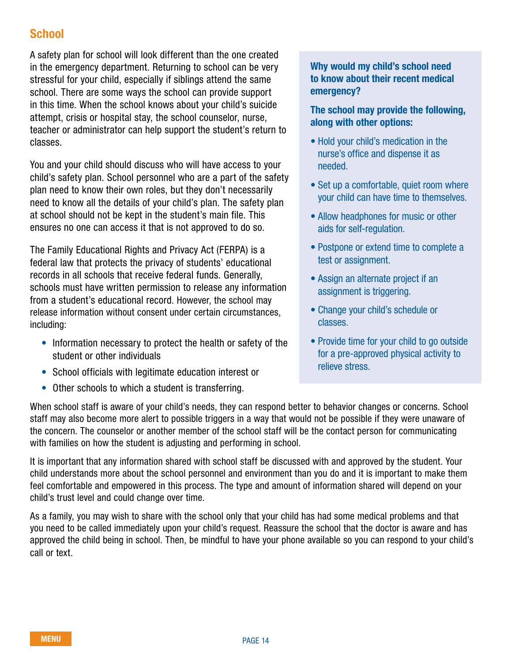### **School**

A safety plan for school will look different than the one created in the emergency department. Returning to school can be very stressful for your child, especially if siblings attend the same school. There are some ways the school can provide support in this time. When the school knows about your child's suicide attempt, crisis or hospital stay, the school counselor, nurse, teacher or administrator can help support the student's return to classes.

You and your child should discuss who will have access to your child's safety plan. School personnel who are a part of the safety plan need to know their own roles, but they don't necessarily need to know all the details of your child's plan. The safety plan at school should not be kept in the student's main file. This ensures no one can access it that is not approved to do so.

The Family Educational Rights and Privacy Act (FERPA) is a federal law that protects the privacy of students' educational records in all schools that receive federal funds. Generally, schools must have written permission to release any information from a student's educational record. However, the school may release information without consent under certain circumstances, including:

- Information necessary to protect the health or safety of the student or other individuals
- School officials with legitimate education interest or
- Other schools to which a student is transferring.

When school staff is aware of your child's needs, they can respond better to behavior changes or concerns. School staff may also become more alert to possible triggers in a way that would not be possible if they were unaware of the concern. The counselor or another member of the school staff will be the contact person for communicating with families on how the student is adjusting and performing in school.

It is important that any information shared with school staff be discussed with and approved by the student. Your child understands more about the school personnel and environment than you do and it is important to make them feel comfortable and empowered in this process. The type and amount of information shared will depend on your child's trust level and could change over time.

As a family, you may wish to share with the school only that your child has had some medical problems and that you need to be called immediately upon your child's request. Reassure the school that the doctor is aware and has approved the child being in school. Then, be mindful to have your phone available so you can respond to your child's call or text.

### Why would my child's school need to know about their recent medical emergency?

### The school may provide the following, along with other options:

- Hold your child's medication in the nurse's office and dispense it as needed.
- Set up a comfortable, quiet room where your child can have time to themselves.
- Allow headphones for music or other aids for self-regulation.
- Postpone or extend time to complete a test or assignment.
- Assign an alternate project if an assignment is triggering.
- Change your child's schedule or classes.
- Provide time for your child to go outside for a pre-approved physical activity to relieve stress.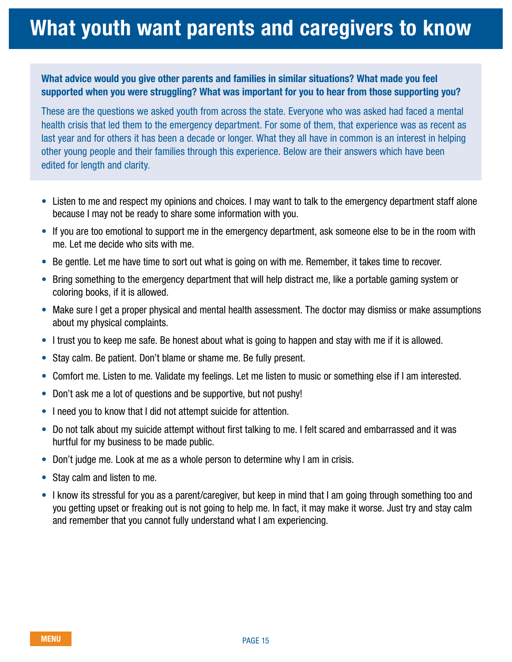### <span id="page-14-0"></span>What youth want parents and caregivers to know

### What advice would you give other parents and families in similar situations? What made you feel supported when you were struggling? What was important for you to hear from those supporting you?

These are the questions we asked youth from across the state. Everyone who was asked had faced a mental health crisis that led them to the emergency department. For some of them, that experience was as recent as last year and for others it has been a decade or longer. What they all have in common is an interest in helping other young people and their families through this experience. Below are their answers which have been edited for length and clarity.

- Listen to me and respect my opinions and choices. I may want to talk to the emergency department staff alone because I may not be ready to share some information with you.
- If you are too emotional to support me in the emergency department, ask someone else to be in the room with me. Let me decide who sits with me.
- Be gentle. Let me have time to sort out what is going on with me. Remember, it takes time to recover.
- Bring something to the emergency department that will help distract me, like a portable gaming system or coloring books, if it is allowed.
- Make sure I get a proper physical and mental health assessment. The doctor may dismiss or make assumptions about my physical complaints.
- I trust you to keep me safe. Be honest about what is going to happen and stay with me if it is allowed.
- Stay calm. Be patient. Don't blame or shame me. Be fully present.
- Comfort me. Listen to me. Validate my feelings. Let me listen to music or something else if I am interested.
- Don't ask me a lot of questions and be supportive, but not pushy!
- I need you to know that I did not attempt suicide for attention.
- Do not talk about my suicide attempt without first talking to me. I felt scared and embarrassed and it was hurtful for my business to be made public.
- Don't judge me. Look at me as a whole person to determine why I am in crisis.
- Stay calm and listen to me.
- I know its stressful for you as a parent/caregiver, but keep in mind that I am going through something too and you getting upset or freaking out is not going to help me. In fact, it may make it worse. Just try and stay calm and remember that you cannot fully understand what I am experiencing.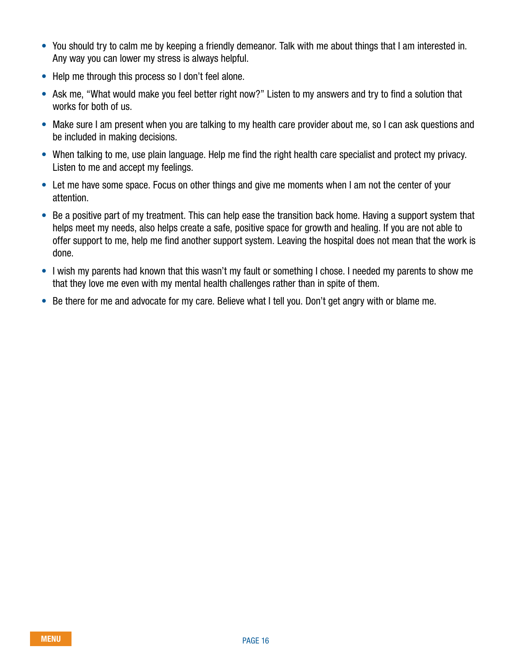- You should try to calm me by keeping a friendly demeanor. Talk with me about things that I am interested in. Any way you can lower my stress is always helpful.
- Help me through this process so I don't feel alone.
- Ask me, "What would make you feel better right now?" Listen to my answers and try to find a solution that works for both of us.
- Make sure I am present when you are talking to my health care provider about me, so I can ask questions and be included in making decisions.
- When talking to me, use plain language. Help me find the right health care specialist and protect my privacy. Listen to me and accept my feelings.
- Let me have some space. Focus on other things and give me moments when I am not the center of your attention.
- Be a positive part of my treatment. This can help ease the transition back home. Having a support system that helps meet my needs, also helps create a safe, positive space for growth and healing. If you are not able to offer support to me, help me find another support system. Leaving the hospital does not mean that the work is done.
- I wish my parents had known that this wasn't my fault or something I chose. I needed my parents to show me that they love me even with my mental health challenges rather than in spite of them.
- Be there for me and advocate for my care. Believe what I tell you. Don't get angry with or blame me.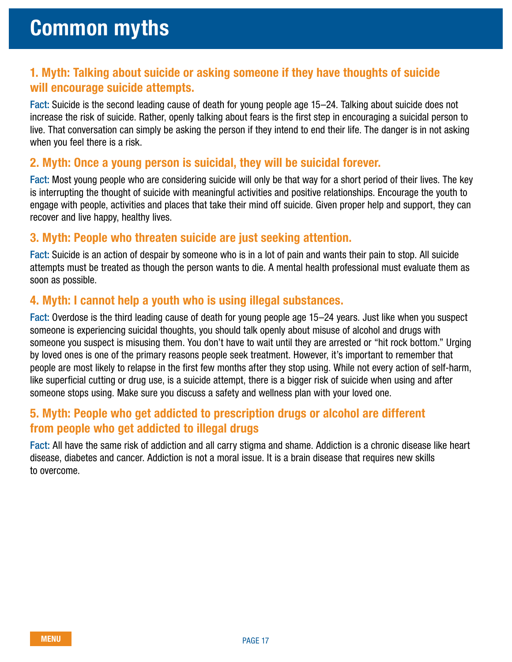### <span id="page-16-0"></span>1. Myth: Talking about suicide or asking someone if they have thoughts of suicide will encourage suicide attempts.

Fact: Suicide is the second leading cause of death for young people age 15–24. Talking about suicide does not increase the risk of suicide. Rather, openly talking about fears is the first step in encouraging a suicidal person to live. That conversation can simply be asking the person if they intend to end their life. The danger is in not asking when you feel there is a risk.

### 2. Myth: Once a young person is suicidal, they will be suicidal forever.

Fact: Most young people who are considering suicide will only be that way for a short period of their lives. The key is interrupting the thought of suicide with meaningful activities and positive relationships. Encourage the youth to engage with people, activities and places that take their mind off suicide. Given proper help and support, they can recover and live happy, healthy lives.

### 3. Myth: People who threaten suicide are just seeking attention.

Fact: Suicide is an action of despair by someone who is in a lot of pain and wants their pain to stop. All suicide attempts must be treated as though the person wants to die. A mental health professional must evaluate them as soon as possible.

### 4. Myth: I cannot help a youth who is using illegal substances.

Fact: Overdose is the third leading cause of death for young people age 15–24 years. Just like when you suspect someone is experiencing suicidal thoughts, you should talk openly about misuse of alcohol and drugs with someone you suspect is misusing them. You don't have to wait until they are arrested or "hit rock bottom." Urging by loved ones is one of the primary reasons people seek treatment. However, it's important to remember that people are most likely to relapse in the first few months after they stop using. While not every action of self-harm, like superficial cutting or drug use, is a suicide attempt, there is a bigger risk of suicide when using and after someone stops using. Make sure you discuss a safety and wellness plan with your loved one.

### 5. Myth: People who get addicted to prescription drugs or alcohol are different from people who get addicted to illegal drugs

Fact: All have the same risk of addiction and all carry stigma and shame. Addiction is a chronic disease like heart disease, diabetes and cancer. Addiction is not a moral issue. It is a brain disease that requires new skills to overcome.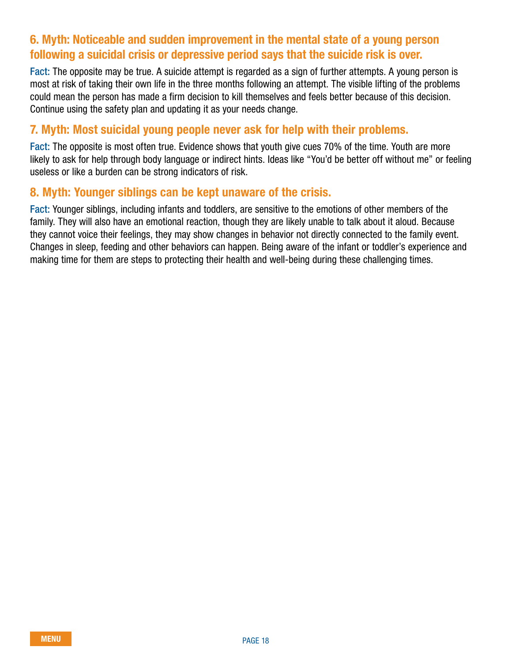### 6. Myth: Noticeable and sudden improvement in the mental state of a young person following a suicidal crisis or depressive period says that the suicide risk is over.

Fact: The opposite may be true. A suicide attempt is regarded as a sign of further attempts. A young person is most at risk of taking their own life in the three months following an attempt. The visible lifting of the problems could mean the person has made a firm decision to kill themselves and feels better because of this decision. Continue using the safety plan and updating it as your needs change.

### 7. Myth: Most suicidal young people never ask for help with their problems.

Fact: The opposite is most often true. Evidence shows that youth give cues 70% of the time. Youth are more likely to ask for help through body language or indirect hints. Ideas like "You'd be better off without me" or feeling useless or like a burden can be strong indicators of risk.

### 8. Myth: Younger siblings can be kept unaware of the crisis.

Fact: Younger siblings, including infants and toddlers, are sensitive to the emotions of other members of the family. They will also have an emotional reaction, though they are likely unable to talk about it aloud. Because they cannot voice their feelings, they may show changes in behavior not directly connected to the family event. Changes in sleep, feeding and other behaviors can happen. Being aware of the infant or toddler's experience and making time for them are steps to protecting their health and well-being during these challenging times.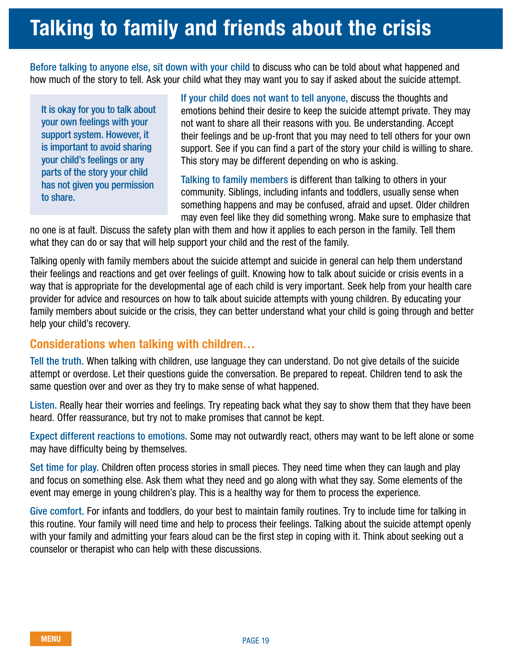# <span id="page-18-0"></span>Talking to family and friends about the crisis

Before talking to anyone else, sit down with your child to discuss who can be told about what happened and how much of the story to tell. Ask your child what they may want you to say if asked about the suicide attempt.

It is okay for you to talk about your own feelings with your support system. However, it is important to avoid sharing your child's feelings or any parts of the story your child has not given you permission to share.

If your child does not want to tell anyone, discuss the thoughts and emotions behind their desire to keep the suicide attempt private. They may not want to share all their reasons with you. Be understanding. Accept their feelings and be up-front that you may need to tell others for your own support. See if you can find a part of the story your child is willing to share. This story may be different depending on who is asking.

Talking to family members is different than talking to others in your community. Siblings, including infants and toddlers, usually sense when something happens and may be confused, afraid and upset. Older children may even feel like they did something wrong. Make sure to emphasize that

no one is at fault. Discuss the safety plan with them and how it applies to each person in the family. Tell them what they can do or say that will help support your child and the rest of the family.

Talking openly with family members about the suicide attempt and suicide in general can help them understand their feelings and reactions and get over feelings of guilt. Knowing how to talk about suicide or crisis events in a way that is appropriate for the developmental age of each child is very important. Seek help from your health care provider for advice and resources on how to talk about suicide attempts with young children. By educating your family members about suicide or the crisis, they can better understand what your child is going through and better help your child's recovery.

### Considerations when talking with children…

Tell the truth. When talking with children, use language they can understand. Do not give details of the suicide attempt or overdose. Let their questions guide the conversation. Be prepared to repeat. Children tend to ask the same question over and over as they try to make sense of what happened.

Listen. Really hear their worries and feelings. Try repeating back what they say to show them that they have been heard. Offer reassurance, but try not to make promises that cannot be kept.

Expect different reactions to emotions. Some may not outwardly react, others may want to be left alone or some may have difficulty being by themselves.

Set time for play. Children often process stories in small pieces. They need time when they can laugh and play and focus on something else. Ask them what they need and go along with what they say. Some elements of the event may emerge in young children's play. This is a healthy way for them to process the experience.

Give comfort. For infants and toddlers, do your best to maintain family routines. Try to include time for talking in this routine. Your family will need time and help to process their feelings. Talking about the suicide attempt openly with your family and admitting your fears aloud can be the first step in coping with it. Think about seeking out a counselor or therapist who can help with these discussions.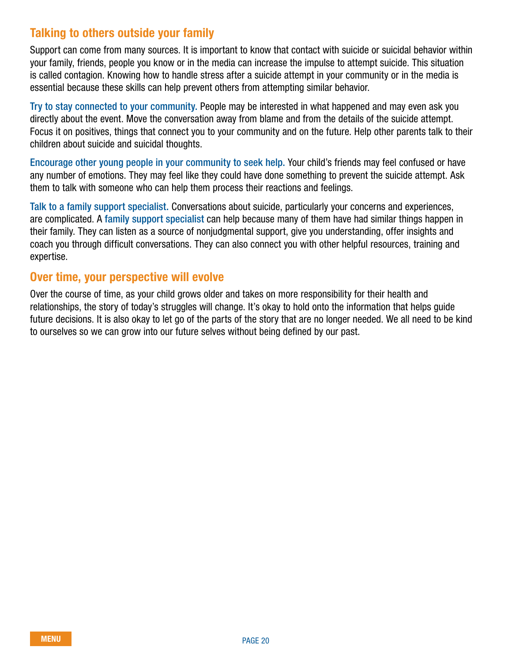### Talking to others outside your family

Support can come from many sources. It is important to know that contact with suicide or suicidal behavior within your family, friends, people you know or in the media can increase the impulse to attempt suicide. This situation is called contagion. Knowing how to handle stress after a suicide attempt in your community or in the media is essential because these skills can help prevent others from attempting similar behavior.

Try to stay connected to your community. People may be interested in what happened and may even ask you directly about the event. Move the conversation away from blame and from the details of the suicide attempt. Focus it on positives, things that connect you to your community and on the future. Help other parents talk to their children about suicide and suicidal thoughts.

Encourage other young people in your community to seek help. Your child's friends may feel confused or have any number of emotions. They may feel like they could have done something to prevent the suicide attempt. Ask them to talk with someone who can help them process their reactions and feelings.

Talk to a family support specialist. Conversations about suicide, particularly your concerns and experiences, are complicated. A family support specialist can help because many of them have had similar things happen in their family. They can listen as a source of nonjudgmental support, give you understanding, offer insights and coach you through difficult conversations. They can also connect you with other helpful resources, training and expertise.

### Over time, your perspective will evolve

Over the course of time, as your child grows older and takes on more responsibility for their health and relationships, the story of today's struggles will change. It's okay to hold onto the information that helps guide future decisions. It is also okay to let go of the parts of the story that are no longer needed. We all need to be kind to ourselves so we can grow into our future selves without being defined by our past.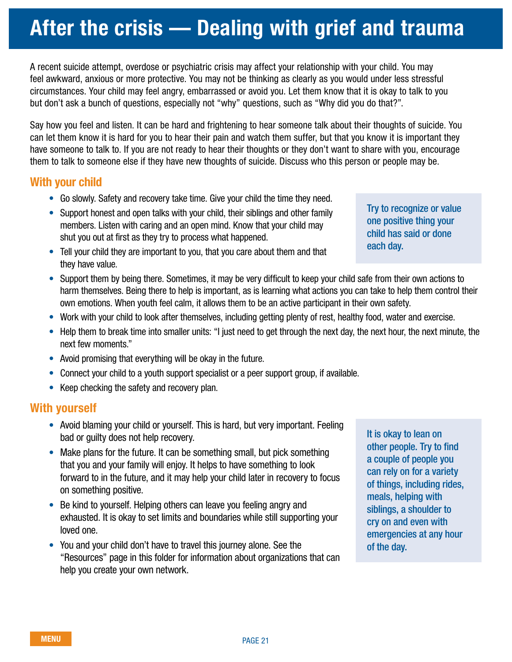- on something positive. • Be kind to yourself. Helping others can leave you feeling angry and
- exhausted. It is okay to set limits and boundaries while still supporting your loved one.
- You and your child don't have to travel this journey alone. See the "Resources" page in this folder for information about organizations that can help you create your own network.

It is okay to lean on other people. Try to find a couple of people you can rely on for a variety of things, including rides, meals, helping with siblings, a shoulder to cry on and even with emergencies at any hour

of the day.

Try to recognize or value one positive thing your child has said or done each day.

A recent suicide attempt, overdose or psychiatric crisis may affect your relationship with your child. You may feel awkward, anxious or more protective. You may not be thinking as clearly as you would under less stressful circumstances. Your child may feel angry, embarrassed or avoid you. Let them know that it is okay to talk to you

### but don't ask a bunch of questions, especially not "why" questions, such as "Why did you do that?". Say how you feel and listen. It can be hard and frightening to hear someone talk about their thoughts of suicide. You

can let them know it is hard for you to hear their pain and watch them suffer, but that you know it is important they have someone to talk to. If you are not ready to hear their thoughts or they don't want to share with you, encourage them to talk to someone else if they have new thoughts of suicide. Discuss who this person or people may be.

### With your child

- Go slowly. Safety and recovery take time. Give your child the time they need.
- Support honest and open talks with your child, their siblings and other family members. Listen with caring and an open mind. Know that your child may shut you out at first as they try to process what happened.
- Tell your child they are important to you, that you care about them and that they have value.
- Support them by being there. Sometimes, it may be very difficult to keep your child safe from their own actions to harm themselves. Being there to help is important, as is learning what actions you can take to help them control their own emotions. When youth feel calm, it allows them to be an active participant in their own safety.
- Work with your child to look after themselves, including getting plenty of rest, healthy food, water and exercise.
- Help them to break time into smaller units: "I just need to get through the next day, the next hour, the next minute, the next few moments."
- Avoid promising that everything will be okay in the future.
- Connect your child to a youth support specialist or a peer support group, if available.
- Keep checking the safety and recovery plan.

### With yourself

- Avoid blaming your child or yourself. This is hard, but very important. Feeling bad or guilty does not help recovery.
- Make plans for the future. It can be something small, but pick something that you and your family will enjoy. It helps to have something to look forward to in the future, and it may help your child later in recovery to focus
	-

# <span id="page-20-0"></span>After the crisis — Dealing with grief and trauma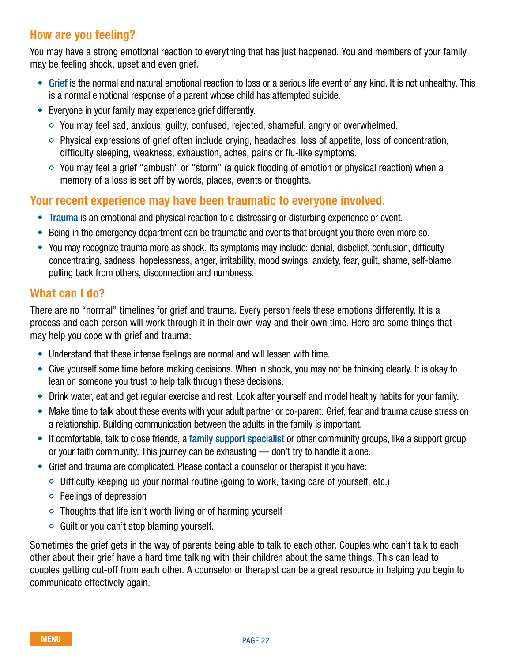### How are you feeling?

You may have a strong emotional reaction to everything that has just happened. You and members of your family may be feeling shock, upset and even grief.

- Grief is the normal and natural emotional reaction to loss or a serious life event of any kind. It is not unhealthy. This is a normal emotional response of a parent whose child has attempted suicide.
- Everyone in your family may experience grief differently.
	- You may feel sad, anxious, guilty, confused, rejected, shameful, angry or overwhelmed.
	- Physical expressions of grief often include crying, headaches, loss of appetite, loss of concentration, difficulty sleeping, weakness, exhaustion, aches, pains or flu-like symptoms.
	- You may feel a grief "ambush" or "storm" (a quick flooding of emotion or physical reaction) when a memory of a loss is set off by words, places, events or thoughts.

### Your recent experience may have been traumatic to everyone involved.

- Trauma is an emotional and physical reaction to a distressing or disturbing experience or event.
- Being in the emergency department can be traumatic and events that brought you there even more so.
- You may recognize trauma more as shock. Its symptoms may include: denial, disbelief, confusion, difficulty concentrating, sadness, hopelessness, anger, irritability, mood swings, anxiety, fear, guilt, shame, self-blame, pulling back from others, disconnection and numbness.

### What can I do?

There are no "normal" timelines for grief and trauma. Every person feels these emotions differently. It is a process and each person will work through it in their own way and their own time. Here are some things that may help you cope with grief and trauma:

- Understand that these intense feelings are normal and will lessen with time.
- Give yourself some time before making decisions. When in shock, you may not be thinking clearly. It is okay to lean on someone you trust to help talk through these decisions.
- Drink water, eat and get regular exercise and rest. Look after yourself and model healthy habits for your family.
- Make time to talk about these events with your adult partner or co-parent. Grief, fear and trauma cause stress on a relationship. Building communication between the adults in the family is important.
- If comfortable, talk to close friends, a family support specialist or other community groups, like a support group or your faith community. This journey can be exhausting — don't try to handle it alone.
- Grief and trauma are complicated. Please contact a counselor or therapist if you have:
	- Difficulty keeping up your normal routine (going to work, taking care of yourself, etc.)
	- Feelings of depression
	- Thoughts that life isn't worth living or of harming yourself
	- $\circ$  Guilt or you can't stop blaming yourself.

Sometimes the grief gets in the way of parents being able to talk to each other. Couples who can't talk to each other about their grief have a hard time talking with their children about the same things. This can lead to couples getting cut-off from each other. A counselor or therapist can be a great resource in helping you begin to communicate effectively again.

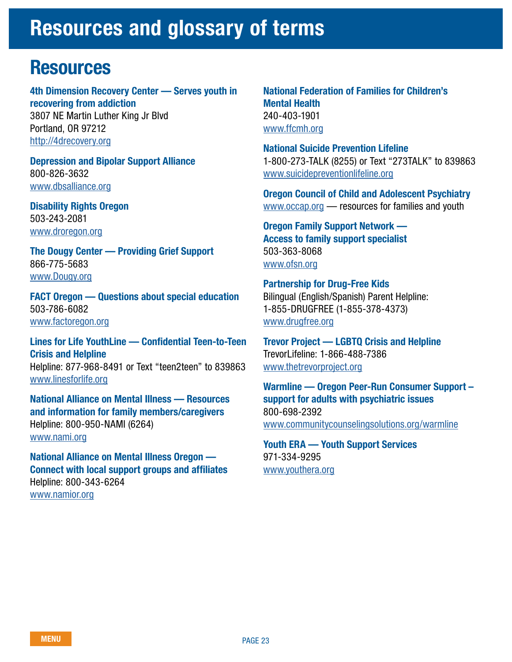### <span id="page-22-0"></span>Resources and glossary of terms

### **Resources**

4th Dimension Recovery Center — Serves youth in recovering from addiction 3807 NE Martin Luther King Jr Blvd Portland, OR 97212 <http://4drecovery.org>

Depression and Bipolar Support Alliance 800-826-3632 [www.dbsalliance.org](http://www.dbsalliance.org)

Disability Rights Oregon 503-243-2081 [www.droregon.org](http://www.droregon.org)

The Dougy Center — Providing Grief Support 866-775-5683 [www.Dougy.org](http://www.Dougy.org)

FACT Oregon — Questions about special education 503-786-6082 [www.factoregon.org](http://www.factoregon.org)

Lines for Life YouthLine — Confidential Teen-to-Teen Crisis and Helpline Helpline: 877-968-8491 or Text "teen2teen" to 839863 [www.linesforlife.org](http://www.linesforlife.org)

National Alliance on Mental Illness — Resources and information for family members/caregivers Helpline: 800-950-NAMI (6264) [www.nami.org](http://www.nami.org)

National Alliance on Mental Illness Oregon — Connect with local support groups and affiliates Helpline: 800-343-6264 [www.namior.org](http://www.namior.org)

National Federation of Families for Children's Mental Health 240-403-1901 [www.ffcmh.org](http://www.ffcmh.org)

National Suicide Prevention Lifeline 1-800-273-TALK (8255) or Text "273TALK" to 839863 [www.suicidepreventionlifeline.org](http://www.suicidepreventionlifeline.org)

Oregon Council of Child and Adolescent Psychiatry [www.occap.org](http://www.occap.org) — resources for families and youth

Oregon Family Support Network — Access to family support specialist 503-363-8068 [www.ofsn.org](http://www.ofsn.org)

Partnership for Drug-Free Kids Bilingual (English/Spanish) Parent Helpline: 1-855-DRUGFREE (1-855-378-4373) [www.drugfree.org](http://www.drugfree.org)

Trevor Project — LGBTQ Crisis and Helpline TrevorLifeline: 1-866-488-7386 [www.thetrevorproject.org](http://www.thetrevorproject.org)

Warmline — Oregon Peer-Run Consumer Support – support for adults with psychiatric issues 800-698-2392 [www.communitycounselingsolutions.org/warmline](http://www.communitycounselingsolutions.org/warmline/)

Youth ERA — Youth Support Services 971-334-9295 [www.youthera.org](http://www.youthera.org)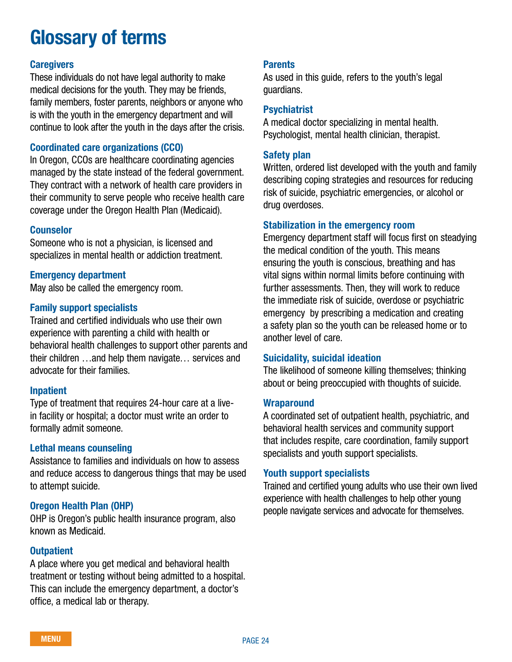### Glossary of terms

### **Caregivers**

These individuals do not have legal authority to make medical decisions for the youth. They may be friends, family members, foster parents, neighbors or anyone who is with the youth in the emergency department and will continue to look after the youth in the days after the crisis.

### Coordinated care organizations (CCO)

In Oregon, CCOs are healthcare coordinating agencies managed by the state instead of the federal government. They contract with a network of health care providers in their community to serve people who receive health care coverage under the Oregon Health Plan (Medicaid).

#### Counselor

Someone who is not a physician, is licensed and specializes in mental health or addiction treatment.

### Emergency department

May also be called the emergency room.

#### Family support specialists

Trained and certified individuals who use their own experience with parenting a child with health or behavioral health challenges to support other parents and their children …and help them navigate… services and advocate for their families.

#### Inpatient

Type of treatment that requires 24-hour care at a livein facility or hospital; a doctor must write an order to formally admit someone.

#### Lethal means counseling

Assistance to families and individuals on how to assess and reduce access to dangerous things that may be used to attempt suicide.

### Oregon Health Plan (OHP)

OHP is Oregon's public health insurance program, also known as Medicaid.

#### **Outpatient**

A place where you get medical and behavioral health treatment or testing without being admitted to a hospital. This can include the emergency department, a doctor's office, a medical lab or therapy.

### **Parents**

As used in this guide, refers to the youth's legal guardians.

### Psychiatrist

A medical doctor specializing in mental health. Psychologist, mental health clinician, therapist.

#### Safety plan

Written, ordered list developed with the youth and family describing coping strategies and resources for reducing risk of suicide, psychiatric emergencies, or alcohol or drug overdoses.

#### Stabilization in the emergency room

Emergency department staff will focus first on steadying the medical condition of the youth. This means ensuring the youth is conscious, breathing and has vital signs within normal limits before continuing with further assessments. Then, they will work to reduce the immediate risk of suicide, overdose or psychiatric emergency by prescribing a medication and creating a safety plan so the youth can be released home or to another level of care.

#### Suicidality, suicidal ideation

The likelihood of someone killing themselves; thinking about or being preoccupied with thoughts of suicide.

#### **Wraparound**

A coordinated set of outpatient health, psychiatric, and behavioral health services and community support that includes respite, care coordination, family support specialists and youth support specialists.

#### Youth support specialists

Trained and certified young adults who use their own lived experience with health challenges to help other young people navigate services and advocate for themselves.